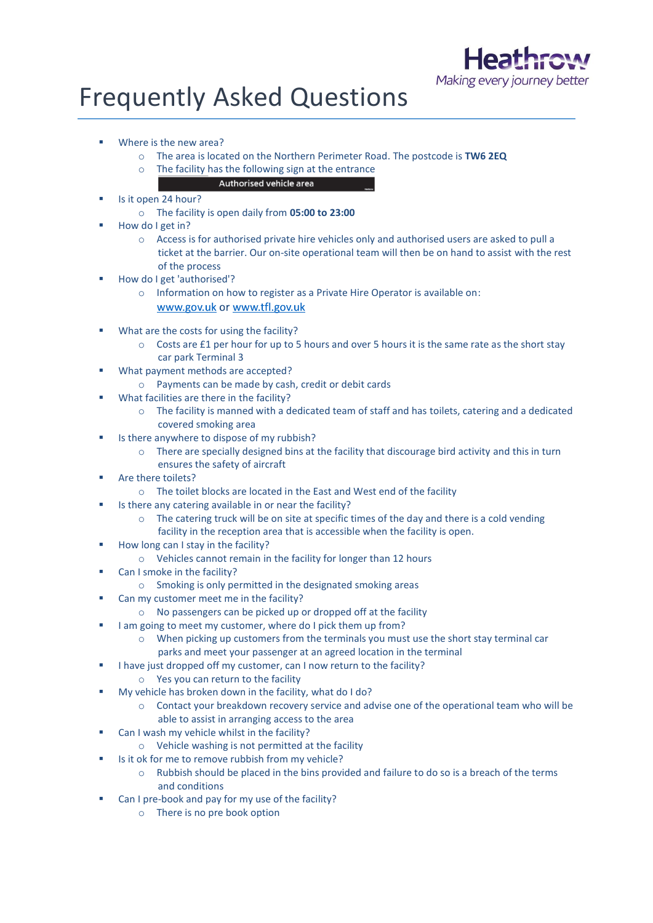

## Frequently Asked Questions

- Where is the new area?
	- o The area is located on the Northern Perimeter Road. The postcode is **TW6 2EQ**
	- o The facility has the following sign at the entrance
		- Authorised vehicle area
- Is it open 24 hour?
	- o The facility is open daily from **05:00 to 23:00**
- How do I get in?
	- o Access is for authorised private hire vehicles only and authorised users are asked to pull a ticket at the barrier. Our on-site operational team will then be on hand to assist with the rest of the process
- How do I get 'authorised'?
	- o Information on how to register as a Private Hire Operator is available on: www.gov.uk or www.tfl.gov.uk
- What are the costs for using the facility?
	- $\circ$  Costs are £1 per hour for up to 5 hours and over 5 hours it is the same rate as the short stay car park Terminal 3
- What payment methods are accepted?
	- o Payments can be made by cash, credit or debit cards
- What facilities are there in the facility?
	- o The facility is manned with a dedicated team of staff and has toilets, catering and a dedicated covered smoking area
- Is there anywhere to dispose of my rubbish?
	- o There are specially designed bins at the facility that discourage bird activity and this in turn ensures the safety of aircraft
- Are there toilets?
	- o The toilet blocks are located in the East and West end of the facility
- Is there any catering available in or near the facility?
	- $\circ$  The catering truck will be on site at specific times of the day and there is a cold vending facility in the reception area that is accessible when the facility is open.
- How long can I stay in the facility?
	- o Vehicles cannot remain in the facility for longer than 12 hours
- Can I smoke in the facility?
	- o Smoking is only permitted in the designated smoking areas
- Can my customer meet me in the facility?
	- o No passengers can be picked up or dropped off at the facility
- I am going to meet my customer, where do I pick them up from?
	- o When picking up customers from the terminals you must use the short stay terminal car parks and meet your passenger at an agreed location in the terminal
- I have just dropped off my customer, can I now return to the facility?
	- o Yes you can return to the facility
- My vehicle has broken down in the facility, what do I do?
	- o Contact your breakdown recovery service and advise one of the operational team who will be able to assist in arranging access to the area
- Can I wash my vehicle whilst in the facility?
	- o Vehicle washing is not permitted at the facility
- Is it ok for me to remove rubbish from my vehicle?
	- $\circ$  Rubbish should be placed in the bins provided and failure to do so is a breach of the terms and conditions
- Can I pre-book and pay for my use of the facility?
	- o There is no pre book option